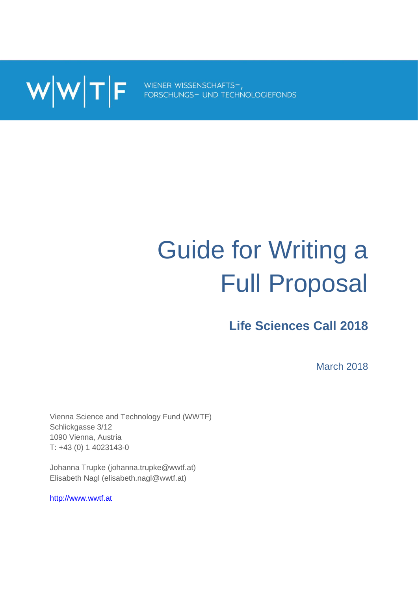$\textbf{W}|\textbf{W}|$   $\textbf{F}$  wiener wissenschafts-,

# Guide for Writing a Full Proposal

**Life Sciences Call 2018**

March 2018

Vienna Science and Technology Fund (WWTF) Schlickgasse 3/12 1090 Vienna, Austria T: +43 (0) 1 4023143-0

Johanna Trupke (johanna.trupke@wwtf.at) Elisabeth Nagl (elisabeth.nagl@wwtf.at)

[http://www.wwtf.at](http://www.wwtf.at/)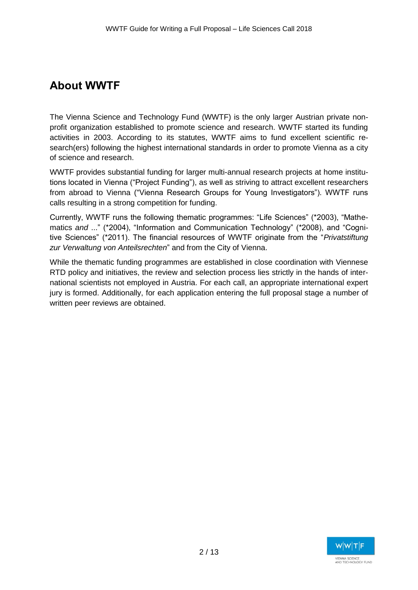# **About WWTF**

The Vienna Science and Technology Fund (WWTF) is the only larger Austrian private nonprofit organization established to promote science and research. WWTF started its funding activities in 2003. According to its statutes, WWTF aims to fund excellent scientific research(ers) following the highest international standards in order to promote Vienna as a city of science and research.

WWTF provides substantial funding for larger multi-annual research projects at home institutions located in Vienna ("Project Funding"), as well as striving to attract excellent researchers from abroad to Vienna ("Vienna Research Groups for Young Investigators"). WWTF runs calls resulting in a strong competition for funding.

Currently, WWTF runs the following thematic programmes: "Life Sciences" (\*2003), "Mathematics *and* ..." (\*2004), "Information and Communication Technology" (\*2008), and "Cognitive Sciences" (\*2011). The financial resources of WWTF originate from the "*Privatstiftung zur Verwaltung von Anteilsrechten*" and from the City of Vienna.

While the thematic funding programmes are established in close coordination with Viennese RTD policy and initiatives, the review and selection process lies strictly in the hands of international scientists not employed in Austria. For each call, an appropriate international expert jury is formed. Additionally, for each application entering the full proposal stage a number of written peer reviews are obtained.

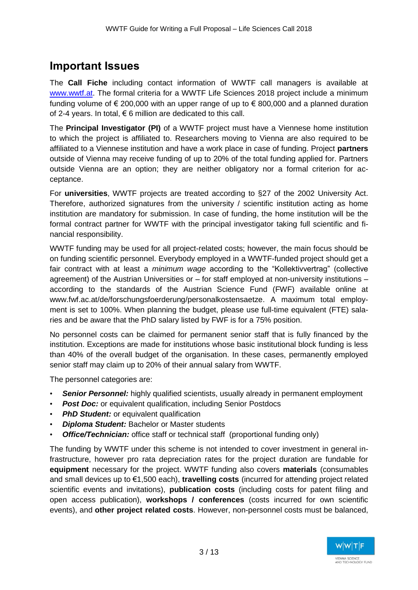## **Important Issues**

The **Call Fiche** including contact information of WWTF call managers is available at [www.wwtf.at.](http://www.wwtf.at/) The formal criteria for a WWTF Life Sciences 2018 project include a minimum funding volume of  $\epsilon$  200,000 with an upper range of up to  $\epsilon$  800,000 and a planned duration of 2-4 years. In total,  $\epsilon$  6 million are dedicated to this call.

The **Principal Investigator (PI)** of a WWTF project must have a Viennese home institution to which the project is affiliated to. Researchers moving to Vienna are also required to be affiliated to a Viennese institution and have a work place in case of funding. Project **partners** outside of Vienna may receive funding of up to 20% of the total funding applied for. Partners outside Vienna are an option; they are neither obligatory nor a formal criterion for acceptance.

For **universities**, WWTF projects are treated according to §27 of the 2002 University Act. Therefore, authorized signatures from the university / scientific institution acting as home institution are mandatory for submission. In case of funding, the home institution will be the formal contract partner for WWTF with the principal investigator taking full scientific and financial responsibility.

WWTF funding may be used for all project-related costs; however, the main focus should be on funding scientific personnel. Everybody employed in a WWTF-funded project should get a fair contract with at least a *minimum wage* according to the "Kollektivvertrag" (collective agreement) of the Austrian Universities or – for staff employed at non-university institutions – according to the standards of the Austrian Science Fund (FWF) available online at www.fwf.ac.at/de/forschungsfoerderung/personalkostensaetze. A maximum total employment is set to 100%. When planning the budget, please use full-time equivalent (FTE) salaries and be aware that the PhD salary listed by FWF is for a 75% position.

No personnel costs can be claimed for permanent senior staff that is fully financed by the institution. Exceptions are made for institutions whose basic institutional block funding is less than 40% of the overall budget of the organisation. In these cases, permanently employed senior staff may claim up to 20% of their annual salary from WWTF.

The personnel categories are:

- **Senior Personnel:** highly qualified scientists, usually already in permanent employment
- **Post Doc:** or equivalent qualification, including Senior Postdocs
- *PhD Student:* or equivalent qualification
- *Diploma Student:* Bachelor or Master students
- **Office/Technician:** office staff or technical staff (proportional funding only)

The funding by WWTF under this scheme is not intended to cover investment in general infrastructure, however pro rata depreciation rates for the project duration are fundable for **equipment** necessary for the project. WWTF funding also covers **materials** (consumables and small devices up to €1,500 each), **travelling costs** (incurred for attending project related scientific events and invitations), **publication costs** (including costs for patent filing and open access publication), **workshops / conferences** (costs incurred for own scientific events), and **other project related costs**. However, non-personnel costs must be balanced,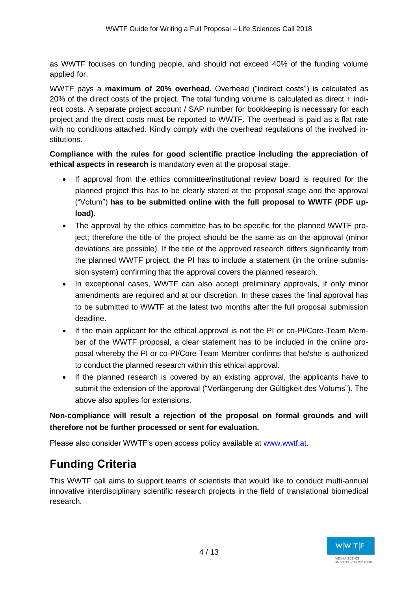as WWTF focuses on funding people, and should not exceed 40% of the funding volume applied for.

WWTF pays a **maximum of 20% overhead**. Overhead ("indirect costs") is calculated as 20% of the direct costs of the project. The total funding volume is calculated as direct + indirect costs. A separate project account / SAP number for bookkeeping is necessary for each project and the direct costs must be reported to WWTF. The overhead is paid as a flat rate with no conditions attached. Kindly comply with the overhead regulations of the involved institutions.

**Compliance with the rules for good scientific practice including the appreciation of ethical aspects in research** is mandatory even at the proposal stage.

- If approval from the ethics committee/institutional review board is required for the planned project this has to be clearly stated at the proposal stage and the approval ("Votum") **has to be submitted online with the full proposal to WWTF (PDF upload).**
- The approval by the ethics committee has to be specific for the planned WWTF project; therefore the title of the project should be the same as on the approval (minor deviations are possible). If the title of the approved research differs significantly from the planned WWTF project, the PI has to include a statement (in the online submission system) confirming that the approval covers the planned research.
- In exceptional cases, WWTF can also accept preliminary approvals, if only minor amendments are required and at our discretion. In these cases the final approval has to be submitted to WWTF at the latest two months after the full proposal submission deadline.
- If the main applicant for the ethical approval is not the PI or co-PI/Core-Team Member of the WWTF proposal, a clear statement has to be included in the online proposal whereby the PI or co-PI/Core-Team Member confirms that he/she is authorized to conduct the planned research within this ethical approval.
- If the planned research is covered by an existing approval, the applicants have to submit the extension of the approval ("Verlängerung der Gültigkeit des Votums"). The above also applies for extensions.

**Non-compliance will result a rejection of the proposal on formal grounds and will therefore not be further processed or sent for evaluation.** 

Please also consider WWTF's open access policy available at [www.wwtf.at.](http://www.wwtf.at/)

# **Funding Criteria**

This WWTF call aims to support teams of scientists that would like to conduct multi-annual innovative interdisciplinary scientific research projects in the field of translational biomedical research.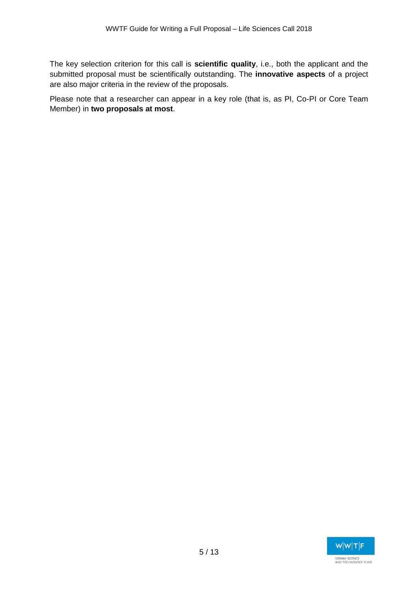The key selection criterion for this call is **scientific quality**, i.e., both the applicant and the submitted proposal must be scientifically outstanding. The **innovative aspects** of a project are also major criteria in the review of the proposals.

Please note that a researcher can appear in a key role (that is, as PI, Co-PI or Core Team Member) in **two proposals at most**.

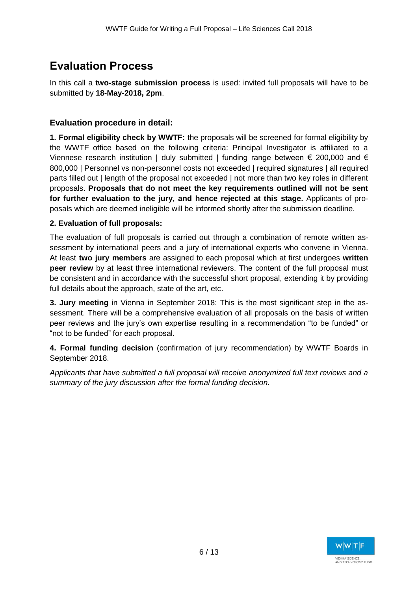# **Evaluation Process**

In this call a **two-stage submission process** is used: invited full proposals will have to be submitted by **18-May-2018, 2pm**.

## **Evaluation procedure in detail:**

**1. Formal eligibility check by WWTF:** the proposals will be screened for formal eligibility by the WWTF office based on the following criteria: Principal Investigator is affiliated to a Viennese research institution | duly submitted | funding range between  $\epsilon$  200,000 and  $\epsilon$ 800,000 | Personnel vs non-personnel costs not exceeded | required signatures | all required parts filled out | length of the proposal not exceeded | not more than two key roles in different proposals. **Proposals that do not meet the key requirements outlined will not be sent for further evaluation to the jury, and hence rejected at this stage.** Applicants of proposals which are deemed ineligible will be informed shortly after the submission deadline.

## **2. Evaluation of full proposals:**

The evaluation of full proposals is carried out through a combination of remote written assessment by international peers and a jury of international experts who convene in Vienna. At least **two jury members** are assigned to each proposal which at first undergoes **written peer review** by at least three international reviewers. The content of the full proposal must be consistent and in accordance with the successful short proposal, extending it by providing full details about the approach, state of the art, etc.

**3. Jury meeting** in Vienna in September 2018: This is the most significant step in the assessment. There will be a comprehensive evaluation of all proposals on the basis of written peer reviews and the jury's own expertise resulting in a recommendation "to be funded" or "not to be funded" for each proposal.

**4. Formal funding decision** (confirmation of jury recommendation) by WWTF Boards in September 2018.

*Applicants that have submitted a full proposal will receive anonymized full text reviews and a summary of the jury discussion after the formal funding decision.*

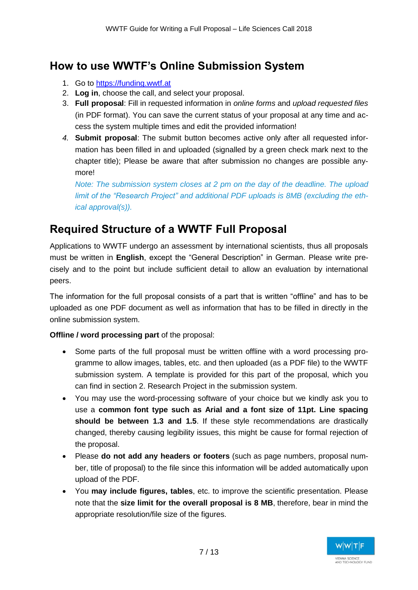# **How to use WWTF's Online Submission System**

- 1. Go to [https://funding.wwtf.at](https://funding.wwtf.at/)
- 2. **Log in**, choose the call, and select your proposal.
- 3. **Full proposal**: Fill in requested information in *online forms* and *upload requested files* (in PDF format). You can save the current status of your proposal at any time and access the system multiple times and edit the provided information!
- *4.* **Submit proposal**: The submit button becomes active only after all requested information has been filled in and uploaded (signalled by a green check mark next to the chapter title); Please be aware that after submission no changes are possible anymore!

*Note: The submission system closes at 2 pm on the day of the deadline. The upload limit of the "Research Project" and additional PDF uploads is 8MB (excluding the ethical approval(s)).*

# **Required Structure of a WWTF Full Proposal**

Applications to WWTF undergo an assessment by international scientists, thus all proposals must be written in **English**, except the "General Description" in German. Please write precisely and to the point but include sufficient detail to allow an evaluation by international peers.

The information for the full proposal consists of a part that is written "offline" and has to be uploaded as one PDF document as well as information that has to be filled in directly in the online submission system.

**Offline / word processing part** of the proposal:

- Some parts of the full proposal must be written offline with a word processing programme to allow images, tables, etc. and then uploaded (as a PDF file) to the WWTF submission system. A template is provided for this part of the proposal, which you can find in section 2. Research Project in the submission system.
- You may use the word-processing software of your choice but we kindly ask you to use a **common font type such as Arial and a font size of 11pt. Line spacing should be between 1.3 and 1.5**. If these style recommendations are drastically changed, thereby causing legibility issues, this might be cause for formal rejection of the proposal.
- Please **do not add any headers or footers** (such as page numbers, proposal number, title of proposal) to the file since this information will be added automatically upon upload of the PDF.
- You **may include figures, tables**, etc. to improve the scientific presentation. Please note that the **size limit for the overall proposal is 8 MB**, therefore, bear in mind the appropriate resolution/file size of the figures.

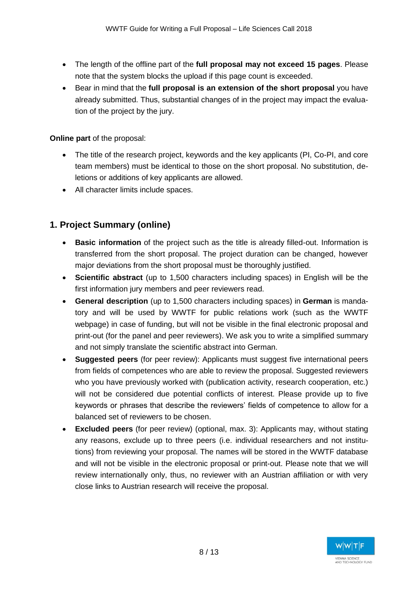- The length of the offline part of the **full proposal may not exceed 15 pages**. Please note that the system blocks the upload if this page count is exceeded.
- Bear in mind that the **full proposal is an extension of the short proposal** you have already submitted. Thus, substantial changes of in the project may impact the evaluation of the project by the jury.

**Online part** of the proposal:

- The title of the research project, keywords and the key applicants (PI, Co-PI, and core team members) must be identical to those on the short proposal. No substitution, deletions or additions of key applicants are allowed.
- All character limits include spaces.

## **1. Project Summary (online)**

- **Basic information** of the project such as the title is already filled-out. Information is transferred from the short proposal. The project duration can be changed, however major deviations from the short proposal must be thoroughly justified.
- **Scientific abstract** (up to 1,500 characters including spaces) in English will be the first information jury members and peer reviewers read.
- **General description** (up to 1,500 characters including spaces) in **German** is mandatory and will be used by WWTF for public relations work (such as the WWTF webpage) in case of funding, but will not be visible in the final electronic proposal and print-out (for the panel and peer reviewers). We ask you to write a simplified summary and not simply translate the scientific abstract into German.
- **Suggested peers** (for peer review): Applicants must suggest five international peers from fields of competences who are able to review the proposal. Suggested reviewers who you have previously worked with (publication activity, research cooperation, etc.) will not be considered due potential conflicts of interest. Please provide up to five keywords or phrases that describe the reviewers' fields of competence to allow for a balanced set of reviewers to be chosen.
- **Excluded peers** (for peer review) (optional, max. 3): Applicants may, without stating any reasons, exclude up to three peers (i.e. individual researchers and not institutions) from reviewing your proposal. The names will be stored in the WWTF database and will not be visible in the electronic proposal or print-out. Please note that we will review internationally only, thus, no reviewer with an Austrian affiliation or with very close links to Austrian research will receive the proposal.

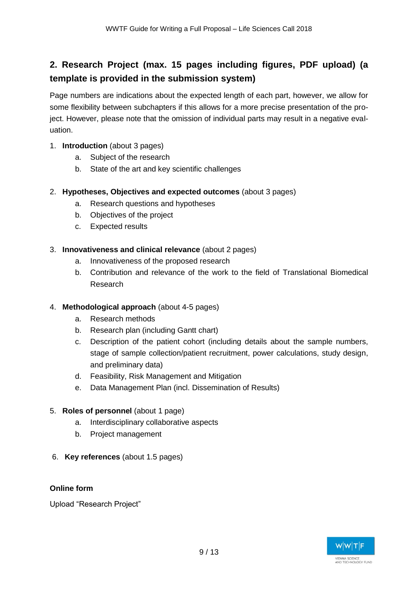## **2. Research Project (max. 15 pages including figures, PDF upload) (a template is provided in the submission system)**

Page numbers are indications about the expected length of each part, however, we allow for some flexibility between subchapters if this allows for a more precise presentation of the project. However, please note that the omission of individual parts may result in a negative evaluation.

- 1. **Introduction** (about 3 pages)
	- a. Subject of the research
	- b. State of the art and key scientific challenges
- 2. **Hypotheses, Objectives and expected outcomes** (about 3 pages)
	- a. Research questions and hypotheses
	- b. Objectives of the project
	- c. Expected results
- 3. **Innovativeness and clinical relevance** (about 2 pages)
	- a. Innovativeness of the proposed research
	- b. Contribution and relevance of the work to the field of Translational Biomedical Research

#### 4. **Methodological approach** (about 4-5 pages)

- a. Research methods
- b. Research plan (including Gantt chart)
- c. Description of the patient cohort (including details about the sample numbers, stage of sample collection/patient recruitment, power calculations, study design, and preliminary data)
- d. Feasibility, Risk Management and Mitigation
- e. Data Management Plan (incl. Dissemination of Results)

#### 5. **Roles of personnel** (about 1 page)

- a. Interdisciplinary collaborative aspects
- b. Project management
- 6. **Key references** (about 1.5 pages)

### **Online form**

Upload "Research Project"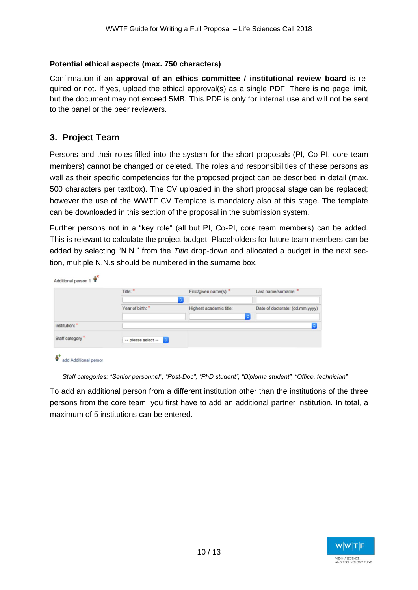#### **Potential ethical aspects (max. 750 characters)**

Confirmation if an **approval of an ethics committee / institutional review board** is required or not. If yes, upload the ethical approval(s) as a single PDF. There is no page limit, but the document may not exceed 5MB. This PDF is only for internal use and will not be sent to the panel or the peer reviewers.

## **3. Project Team**

Persons and their roles filled into the system for the short proposals (PI, Co-PI, core team members) cannot be changed or deleted. The roles and responsibilities of these persons as well as their specific competencies for the proposed project can be described in detail (max. 500 characters per textbox). The CV uploaded in the short proposal stage can be replaced; however the use of the WWTF CV Template is mandatory also at this stage. The template can be downloaded in this section of the proposal in the submission system.

Further persons not in a "key role" (all but PI, Co-PI, core team members) can be added. This is relevant to calculate the project budget. Placeholders for future team members can be added by selecting "N.N." from the *Title* drop-down and allocated a budget in the next section, multiple N.N.s should be numbered in the surname box.

|                 | Title: *                            | First/given name(s): *<br>٠ | Last name/sumame: *             |
|-----------------|-------------------------------------|-----------------------------|---------------------------------|
|                 | Year of birth:                      | Highest academic title:     | Date of doctorate: (dd.mm.yyyy) |
| Institution: *  |                                     |                             | $\ddot{\phantom{a}}$            |
| Staff category* | $\mathbf{c}$<br>-- please select -- |                             |                                 |

add Additional persor

*Staff categories: "Senior personnel", "Post-Doc", "PhD student", "Diploma student", "Office, technician"* 

To add an additional person from a different institution other than the institutions of the three persons from the core team, you first have to add an additional partner institution. In total, a maximum of 5 institutions can be entered.

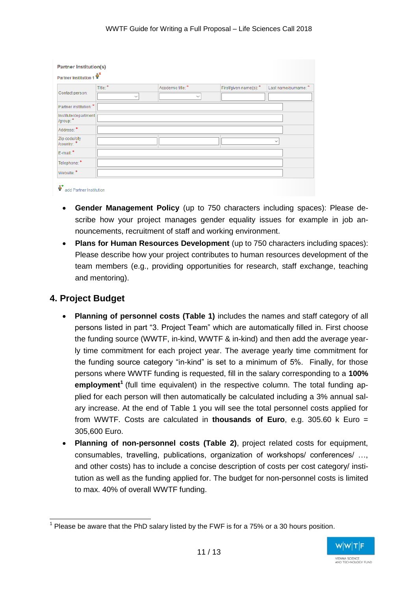| Partner Institution 1             |              |                   |                        |                      |
|-----------------------------------|--------------|-------------------|------------------------|----------------------|
| Contact person:                   | Title: *     | Academic title: * | First/given name(s): * | Last name/surname: * |
|                                   | $\checkmark$ | $\checkmark$      |                        |                      |
| Partner institution: *            |              |                   |                        |                      |
| Institute/department<br>/group: * |              |                   |                        |                      |
| Address:*                         |              |                   |                        |                      |
| Zip code/city<br>/country: *      |              |                   |                        | $\checkmark$         |
| E-mail:*                          |              |                   |                        |                      |
| Telephone: *                      |              |                   |                        |                      |
| Website:*                         |              |                   |                        |                      |

- **Gender Management Policy** (up to 750 characters including spaces): Please describe how your project manages gender equality issues for example in job announcements, recruitment of staff and working environment.
- **Plans for Human Resources Development** (up to 750 characters including spaces): Please describe how your project contributes to human resources development of the team members (e.g., providing opportunities for research, staff exchange, teaching and mentoring).

## **4. Project Budget**

- **Planning of personnel costs (Table 1)** includes the names and staff category of all persons listed in part "3. Project Team" which are automatically filled in. First choose the funding source (WWTF, in-kind, WWTF & in-kind) and then add the average yearly time commitment for each project year. The average yearly time commitment for the funding source category "in-kind" is set to a minimum of 5%. Finally, for those persons where WWTF funding is requested, fill in the salary corresponding to a **100% employment<sup>1</sup>** (full time equivalent) in the respective column. The total funding applied for each person will then automatically be calculated including a 3% annual salary increase. At the end of Table 1 you will see the total personnel costs applied for from WWTF. Costs are calculated in **thousands of Euro**, e.g. 305.60 k Euro = 305,600 Euro.
- **Planning of non-personnel costs (Table 2)**, project related costs for equipment, consumables, travelling, publications, organization of workshops/ conferences/ …, and other costs) has to include a concise description of costs per cost category/ institution as well as the funding applied for. The budget for non-personnel costs is limited to max. 40% of overall WWTF funding.

 $1$  Please be aware that the PhD salary listed by the FWF is for a 75% or a 30 hours position.

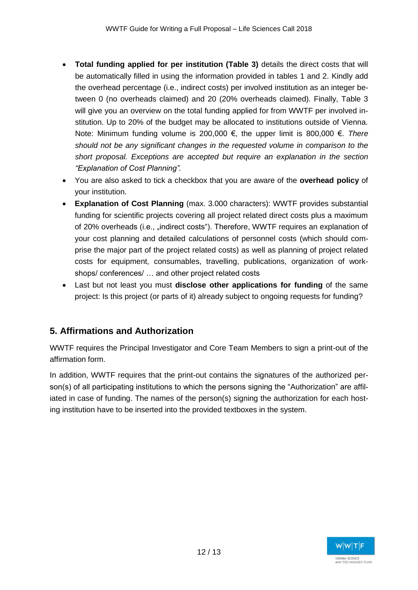- **Total funding applied for per institution (Table 3)** details the direct costs that will be automatically filled in using the information provided in tables 1 and 2. Kindly add the overhead percentage (i.e., indirect costs) per involved institution as an integer between 0 (no overheads claimed) and 20 (20% overheads claimed). Finally, Table 3 will give you an overview on the total funding applied for from WWTF per involved institution. Up to 20% of the budget may be allocated to institutions outside of Vienna. Note: Minimum funding volume is 200,000 €, the upper limit is 800,000 €. *There should not be any significant changes in the requested volume in comparison to the short proposal. Exceptions are accepted but require an explanation in the section "Explanation of Cost Planning".*
- You are also asked to tick a checkbox that you are aware of the **overhead policy** of your institution.
- **Explanation of Cost Planning** (max. 3.000 characters): WWTF provides substantial funding for scientific projects covering all project related direct costs plus a maximum of 20% overheads (i.e., "indirect costs"). Therefore, WWTF requires an explanation of your cost planning and detailed calculations of personnel costs (which should comprise the major part of the project related costs) as well as planning of project related costs for equipment, consumables, travelling, publications, organization of workshops/ conferences/ … and other project related costs
- Last but not least you must **disclose other applications for funding** of the same project: Is this project (or parts of it) already subject to ongoing requests for funding?

## **5. Affirmations and Authorization**

WWTF requires the Principal Investigator and Core Team Members to sign a print-out of the affirmation form.

In addition, WWTF requires that the print-out contains the signatures of the authorized person(s) of all participating institutions to which the persons signing the "Authorization" are affiliated in case of funding. The names of the person(s) signing the authorization for each hosting institution have to be inserted into the provided textboxes in the system.